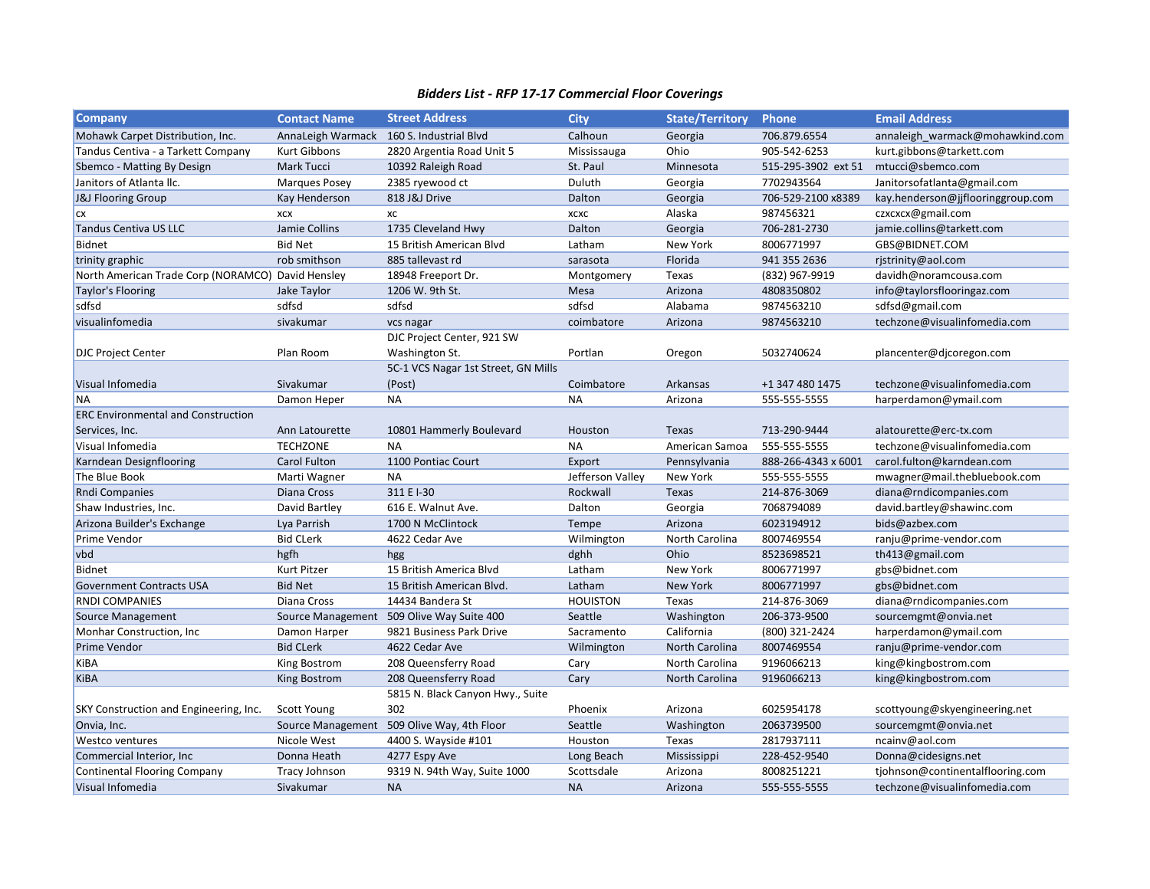## *Bidders List - RFP 17-17 Commercial Floor Coverings*

| <b>Company</b>                                    | <b>Contact Name</b>  | <b>Street Address</b>                     | <b>City</b>      | <b>State/Territory</b> | <b>Phone</b>        | <b>Email Address</b>              |
|---------------------------------------------------|----------------------|-------------------------------------------|------------------|------------------------|---------------------|-----------------------------------|
| Mohawk Carpet Distribution, Inc.                  |                      | AnnaLeigh Warmack 160 S. Industrial Blvd  | Calhoun          | Georgia                | 706.879.6554        | annaleigh_warmack@mohawkind.com   |
| Tandus Centiva - a Tarkett Company                | Kurt Gibbons         | 2820 Argentia Road Unit 5                 | Mississauga      | Ohio                   | 905-542-6253        | kurt.gibbons@tarkett.com          |
| Sbemco - Matting By Design                        | Mark Tucci           | 10392 Raleigh Road                        | St. Paul         | Minnesota              | 515-295-3902 ext 51 | mtucci@sbemco.com                 |
| Janitors of Atlanta IIc.                          | <b>Marques Posey</b> | 2385 ryewood ct                           | Duluth           | Georgia                | 7702943564          | Janitorsofatlanta@gmail.com       |
| J&J Flooring Group                                | Kay Henderson        | 818 J&J Drive                             | Dalton           | Georgia                | 706-529-2100 x8389  | kay.henderson@jjflooringgroup.com |
| <b>CX</b>                                         | XCX                  | хc                                        | XCXC             | Alaska                 | 987456321           | czxcxcx@gmail.com                 |
| Tandus Centiva US LLC                             | Jamie Collins        | 1735 Cleveland Hwy                        | Dalton           | Georgia                | 706-281-2730        | jamie.collins@tarkett.com         |
| Bidnet                                            | <b>Bid Net</b>       | 15 British American Blyd                  | Latham           | New York               | 8006771997          | GBS@BIDNET.COM                    |
| trinity graphic                                   | rob smithson         | 885 tallevast rd                          | sarasota         | Florida                | 941 355 2636        | rjstrinity@aol.com                |
| North American Trade Corp (NORAMCO) David Hensley |                      | 18948 Freeport Dr.                        | Montgomery       | Texas                  | (832) 967-9919      | davidh@noramcousa.com             |
| Taylor's Flooring                                 | Jake Taylor          | 1206 W. 9th St.                           | Mesa             | Arizona                | 4808350802          | info@taylorsflooringaz.com        |
| sdfsd                                             | sdfsd                | sdfsd                                     | sdfsd            | Alabama                | 9874563210          | sdfsd@gmail.com                   |
| visualinfomedia                                   | sivakumar            | vcs nagar                                 | coimbatore       | Arizona                | 9874563210          | techzone@visualinfomedia.com      |
|                                                   |                      | DJC Project Center, 921 SW                |                  |                        |                     |                                   |
| <b>DJC Project Center</b>                         | Plan Room            | Washington St.                            | Portlan          | Oregon                 | 5032740624          | plancenter@djcoregon.com          |
|                                                   |                      | 5C-1 VCS Nagar 1st Street, GN Mills       |                  |                        |                     |                                   |
| Visual Infomedia                                  | Sivakumar            | (Post)                                    | Coimbatore       | Arkansas               | +1 347 480 1475     | techzone@visualinfomedia.com      |
| <b>NA</b>                                         | Damon Heper          | <b>NA</b>                                 | <b>NA</b>        | Arizona                | 555-555-5555        | harperdamon@ymail.com             |
| <b>ERC Environmental and Construction</b>         |                      |                                           |                  |                        |                     |                                   |
| Services, Inc.                                    | Ann Latourette       | 10801 Hammerly Boulevard                  | Houston          | Texas                  | 713-290-9444        | alatourette@erc-tx.com            |
| Visual Infomedia                                  | <b>TECHZONE</b>      | <b>NA</b>                                 | <b>NA</b>        | American Samoa         | 555-555-5555        | techzone@visualinfomedia.com      |
| Karndean Designflooring                           | Carol Fulton         | 1100 Pontiac Court                        | Export           | Pennsylvania           | 888-266-4343 x 6001 | carol.fulton@karndean.com         |
| The Blue Book                                     | Marti Wagner         | NA                                        | Jefferson Valley | New York               | 555-555-5555        | mwagner@mail.thebluebook.com      |
| <b>Rndi Companies</b>                             | Diana Cross          | 311 E I-30                                | Rockwall         | Texas                  | 214-876-3069        | diana@rndicompanies.com           |
| Shaw Industries, Inc.                             | David Bartley        | 616 E. Walnut Ave.                        | Dalton           | Georgia                | 7068794089          | david.bartley@shawinc.com         |
| Arizona Builder's Exchange                        | Lya Parrish          | 1700 N McClintock                         | Tempe            | Arizona                | 6023194912          | bids@azbex.com                    |
| <b>Prime Vendor</b>                               | <b>Bid CLerk</b>     | 4622 Cedar Ave                            | Wilmington       | North Carolina         | 8007469554          | ranju@prime-vendor.com            |
| vbd                                               | hgfh                 | hgg                                       | dghh             | Ohio                   | 8523698521          | th413@gmail.com                   |
| Bidnet                                            | Kurt Pitzer          | 15 British America Blvd                   | Latham           | New York               | 8006771997          | gbs@bidnet.com                    |
| <b>Government Contracts USA</b>                   | <b>Bid Net</b>       | 15 British American Blvd.                 | Latham           | New York               | 8006771997          | gbs@bidnet.com                    |
| <b>RNDI COMPANIES</b>                             | Diana Cross          | 14434 Bandera St                          | <b>HOUISTON</b>  | Texas                  | 214-876-3069        | diana@rndicompanies.com           |
| Source Management                                 |                      | Source Management 509 Olive Way Suite 400 | Seattle          | Washington             | 206-373-9500        | sourcemgmt@onvia.net              |
| Monhar Construction, Inc.                         | Damon Harper         | 9821 Business Park Drive                  | Sacramento       | California             | (800) 321-2424      | harperdamon@ymail.com             |
| <b>Prime Vendor</b>                               | <b>Bid CLerk</b>     | 4622 Cedar Ave                            | Wilmington       | North Carolina         | 8007469554          | ranju@prime-vendor.com            |
| KiBA                                              | King Bostrom         | 208 Queensferry Road                      | Cary             | North Carolina         | 9196066213          | king@kingbostrom.com              |
| KiBA                                              | King Bostrom         | 208 Queensferry Road                      | Cary             | North Carolina         | 9196066213          | king@kingbostrom.com              |
|                                                   |                      | 5815 N. Black Canyon Hwy., Suite          |                  |                        |                     |                                   |
| SKY Construction and Engineering, Inc.            | Scott Young          | 302                                       | Phoenix          | Arizona                | 6025954178          | scottyoung@skyengineering.net     |
| Onvia, Inc.                                       | Source Management    | 509 Olive Way, 4th Floor                  | Seattle          | Washington             | 2063739500          | sourcemgmt@onvia.net              |
| <b>Westco ventures</b>                            | Nicole West          | 4400 S. Wayside #101                      | Houston          | Texas                  | 2817937111          | ncainv@aol.com                    |
| Commercial Interior, Inc                          | Donna Heath          | 4277 Espy Ave                             | Long Beach       | Mississippi            | 228-452-9540        | Donna@cidesigns.net               |
| <b>Continental Flooring Company</b>               | Tracy Johnson        | 9319 N. 94th Way, Suite 1000              | Scottsdale       | Arizona                | 8008251221          | tjohnson@continentalflooring.com  |
| Visual Infomedia                                  | Sivakumar            | <b>NA</b>                                 | <b>NA</b>        | Arizona                | 555-555-5555        | techzone@visualinfomedia.com      |